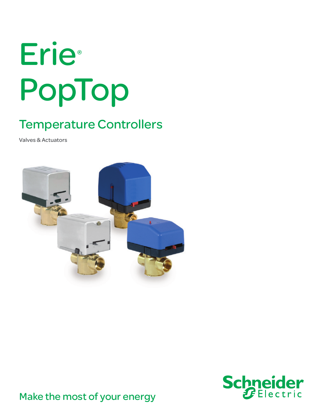# Erie® PopTop

# Temperature Controllers

Valves & Actuators





Make the most of your energy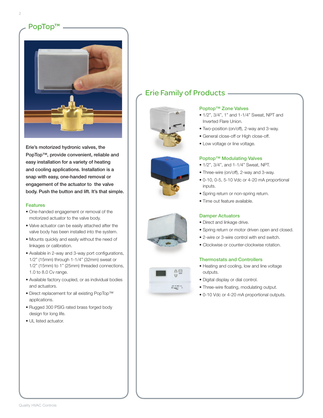

Erie's motorized hydronic valves, the PopTop™, provide convenient, reliable and easy installation for a variety of heating and cooling applications. Installation is a snap with easy, one-handed removal or engagement of the actuator to the valve body. Push the button and lift. It's that simple.

#### **Features**

- One-handed engagement or removal of the motorized actuator to the valve body.
- Valve actuator can be easily attached after the valve body has been installed into the system.
- Mounts quickly and easily without the need of linkages or calibration.
- Available in 2-way and 3-way port configurations, 1/2" (15mm) through 1-1/4" (32mm) sweat or 1/2" (15mm) to 1" (25mm) threaded connections, 1.0 to 8.0 Cv range.
- Available factory coupled, or as individual bodies and actuators.
- Direct replacement for all existing PopTop™ applications.
- Rugged 300 PSIG rated brass forged body design for long life.
- UL listed actuator.

# Erie Family of Products





 $\frac{1}{2} \frac{1}{1 - \frac{1}{1 - \frac{1}{1 - \frac{1}{1 - \frac{1}{1 - \frac{1}{1 - \frac{1}{1 - \frac{1}{1 - \frac{1}{1 - \frac{1}{1 - \frac{1}{1 - \frac{1}{1 - \frac{1}{1 - \frac{1}{1 - \frac{1}{1 - \frac{1}{1 - \frac{1}{1 - \frac{1}{1 - \frac{1}{1 - \frac{1}{1 - \frac{1}{1 - \frac{1}{1 - \frac{1}{1 - \frac{1}{1 - \frac{1}{1 - \frac{1}{1 - \frac{1}{1 - \frac{1}{1 - \frac{1}{1 - \frac{1}{1 - \frac{$ 

#### Poptop™ Zone Valves

- 1/2", 3/4", 1" and 1-1/4" Sweat, NPT and Inverted Flare Union.
- Two-position (on/off), 2-way and 3-way.
- General close-off or High close-off.
- Low voltage or line voltage.

#### Poptop™ Modulating Valves

- 1/2", 3/4", and 1-1/4" Sweat, NPT.
- Three-wire (on/off), 2-way and 3-way.
- 0-10, 0-5, 5-10 Vdc or 4-20 mA proportional inputs.
- Spring return or non-spring return.
- Time out feature available.

#### Damper Actuators

- Direct and linkage drive.
- Spring return or motor driven open and closed.
- 2-wire or 3-wire control with end switch.
- Clockwise or counter-clockwise rotation.

#### Thermostats and Controllers

- Heating and cooling, low and line voltage outputs.
- Digital display or dial control.
- Three-wire floating, modulating output.
- 0-10 Vdc or 4-20 mA proportional outputs.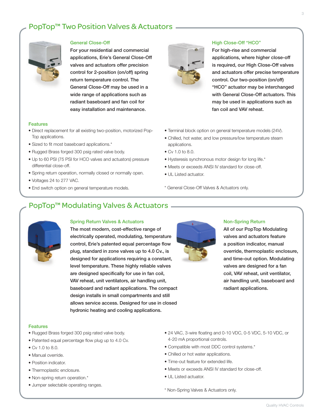## PopTop™ Two Position Valves & Actuators —



#### General Close-Off

For your residential and commercial applications, Erie's General Close-Off valves and actuators offer precision control for 2-position (on/off) spring return temperature control. The General Close-Off may be used in a wide range of applications such as radiant baseboard and fan coil for easy installation and maintenance.

#### Features

- Direct replacement for all existing two-position, motorized Pop-Top applications.
- Sized to fit most baseboard applications.\*
- Rugged Brass forged 300 psig rated valve body.
- Up to 60 PSI (75 PSI for HCO valves and actuators) pressure differential close-off.
- Spring return operation, normally closed or normally open.
- Voltages 24 to 277 VAC.
- End switch option on general temperature models.



#### High Close-Off "HCO"

For high-rise and commercial applications, where higher close-off is required, our High Close-Off valves and actuators offer precise temperature control. Our two-position (on/off) "HCO" actuator may be interchanged with General Close-Off actuators. This may be used in applications such as fan coil and VAV reheat.

- Terminal block option on general temperature models (24V).
- Chilled, hot water, and low pressure/low temperature steam applications.
- Cv 1.0 to 8.0.
- Hysteresis synchronous motor design for long life.\*
- Meets or exceeds ANSI IV standard for close-off.
- UL Listed actuator.

\* General Close-Off Valves & Actuators only.

### PopTop™ Modulating Valves & Actuators —



#### Spring Return Valves & Actuators

The most modern, cost-effective range of electrically operated, modulating, temperature control, Erie's patented equal percentage flow plug, standard in zone valves up to 4.0 Cv., is designed for applications requiring a constant, level temperature. These highly reliable valves are designed specifically for use in fan coil, VAV reheat, unit ventilators, air handling unit, baseboard and radiant applications. The compact design installs in small compartments and still allows service access. Designed for use in closed hydronic heating and cooling applications.



#### Non-Spring Return

All of our PopTop Modulating valves and actuators feature a position indicator, manual override, thermoplastic enclosure, and time-out option. Modulating valves are designed for a fan coil, VAV reheat, unit ventilator, air handling unit, baseboard and radiant applications.

#### Features

- Rugged Brass forged 300 psig rated valve body.
- Patented equal percentage flow plug up to 4.0 Cv.
- Cv 1.0 to 8.0.
- Manual override.
- Position indicator.
- Thermoplastic enclosure.
- Non-spring return operation.\*
- Jumper selectable operating ranges.
- 24 VAC, 3-wire floating and 0-10 VDC, 0-5 VDC, 5-10 VDC, or 4-20 mA proportional controls.
- Compatible with most DDC control systems.\*
- Chilled or hot water applications.
- Time-out feature for extended life.
- Meets or exceeds ANSI IV standard for close-off.
- UL Listed actuator.
- \* Non-Spring Valves & Actuators only.